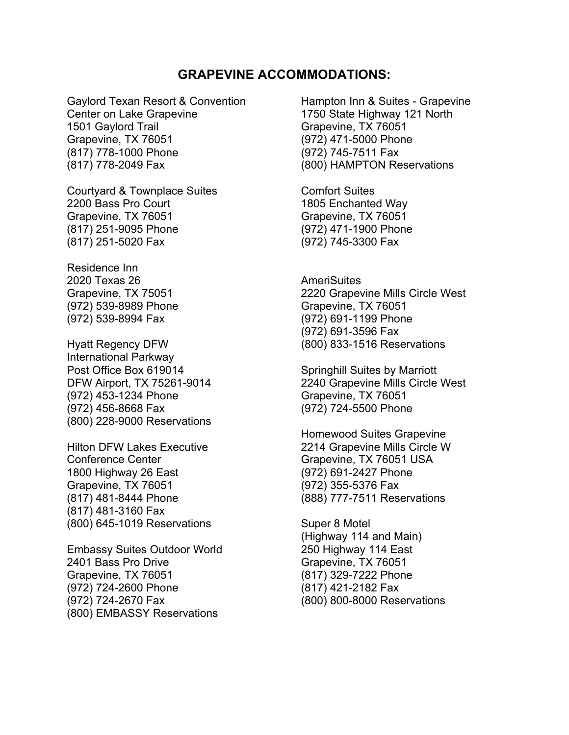## **GRAPEVINE ACCOMMODATIONS:**

Gaylord Texan Resort & Convention Center on Lake Grapevine 1501 Gaylord Trail Grapevine, TX 76051 (817) 778-1000 Phone (817) 778-2049 Fax

Courtyard & Townplace Suites 2200 Bass Pro Court Grapevine, TX 76051 (817) 251-9095 Phone (817) 251-5020 Fax

Residence Inn 2020 Texas 26 Grapevine, TX 75051 (972) 539-8989 Phone (972) 539-8994 Fax

Hyatt Regency DFW International Parkway Post Office Box 619014 DFW Airport, TX 75261-9014 (972) 453-1234 Phone (972) 456-8668 Fax (800) 228-9000 Reservations

Hilton DFW Lakes Executive Conference Center 1800 Highway 26 East Grapevine, TX 76051 (817) 481-8444 Phone (817) 481-3160 Fax (800) 645-1019 Reservations

Embassy Suites Outdoor World 2401 Bass Pro Drive Grapevine, TX 76051 (972) 724-2600 Phone (972) 724-2670 Fax (800) EMBASSY Reservations

Hampton Inn & Suites - Grapevine 1750 State Highway 121 North Grapevine, TX 76051 (972) 471-5000 Phone (972) 745-7511 Fax (800) HAMPTON Reservations

Comfort Suites 1805 Enchanted Way Grapevine, TX 76051 (972) 471-1900 Phone (972) 745-3300 Fax

**AmeriSuites** 2220 Grapevine Mills Circle West Grapevine, TX 76051 (972) 691-1199 Phone (972) 691-3596 Fax (800) 833-1516 Reservations

Springhill Suites by Marriott 2240 Grapevine Mills Circle West Grapevine, TX 76051 (972) 724-5500 Phone

Homewood Suites Grapevine 2214 Grapevine Mills Circle W Grapevine, TX 76051 USA (972) 691-2427 Phone (972) 355-5376 Fax (888) 777-7511 Reservations

Super 8 Motel (Highway 114 and Main) 250 Highway 114 East Grapevine, TX 76051 (817) 329-7222 Phone (817) 421-2182 Fax (800) 800-8000 Reservations